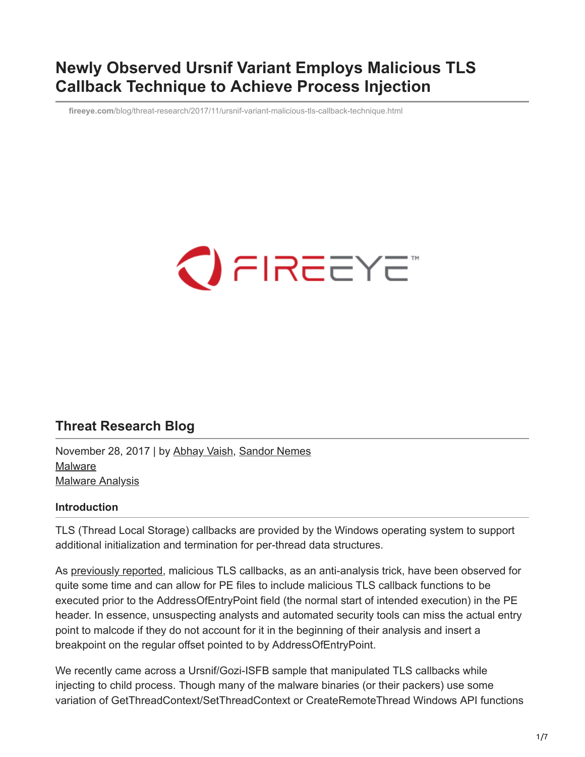# **Newly Observed Ursnif Variant Employs Malicious TLS Callback Technique to Achieve Process Injection**

**fireeye.com**[/blog/threat-research/2017/11/ursnif-variant-malicious-tls-callback-technique.html](https://www.fireeye.com/blog/threat-research/2017/11/ursnif-variant-malicious-tls-callback-technique.html)



# **Threat Research Blog**

November 28, 2017 | by [Abhay Vaish](https://www.fireeye.com/blog/threat-research.html/category/etc/tags/fireeye-blog-authors/abhay-vaish), [Sandor Nemes](https://www.fireeye.com/blog/threat-research.html/category/etc/tags/fireeye-blog-authors/sandor-nemes) [Malware](https://www.fireeye.com/blog/threat-research.html/category/etc/tags/fireeye-blog-tags/malware) [Malware Analysis](https://www.fireeye.com/blog/threat-research.html/category/etc/tags/fireeye-blog-tags/malware-analysis)

### **Introduction**

TLS (Thread Local Storage) callbacks are provided by the Windows operating system to support additional initialization and termination for per-thread data structures.

As [previously reported](https://www.fireeye.com/blog/threat-research/2013/02/the-number-of-the-beast.html), malicious TLS callbacks, as an anti-analysis trick, have been observed for quite some time and can allow for PE files to include malicious TLS callback functions to be executed prior to the AddressOfEntryPoint field (the normal start of intended execution) in the PE header. In essence, unsuspecting analysts and automated security tools can miss the actual entry point to malcode if they do not account for it in the beginning of their analysis and insert a breakpoint on the regular offset pointed to by AddressOfEntryPoint.

We recently came across a Ursnif/Gozi-ISFB sample that manipulated TLS callbacks while injecting to child process. Though many of the malware binaries (or their packers) use some variation of GetThreadContext/SetThreadContext or CreateRemoteThread Windows API functions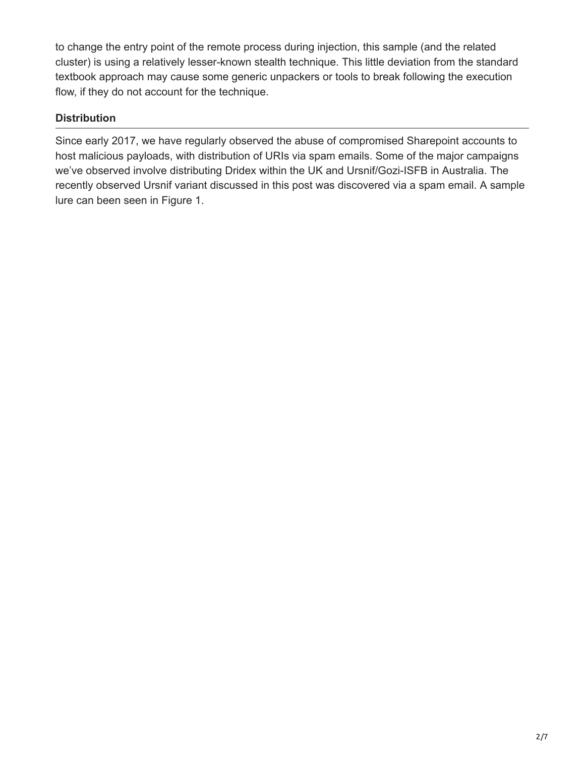to change the entry point of the remote process during injection, this sample (and the related cluster) is using a relatively lesser-known stealth technique. This little deviation from the standard textbook approach may cause some generic unpackers or tools to break following the execution flow, if they do not account for the technique.

## **Distribution**

Since early 2017, we have regularly observed the abuse of compromised Sharepoint accounts to host malicious payloads, with distribution of URIs via spam emails. Some of the major campaigns we've observed involve distributing Dridex within the UK and Ursnif/Gozi-ISFB in Australia. The recently observed Ursnif variant discussed in this post was discovered via a spam email. A sample lure can been seen in Figure 1.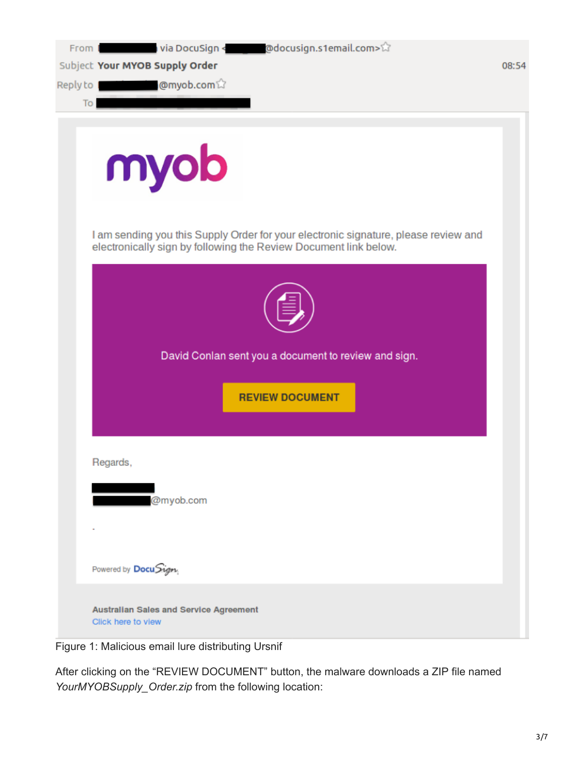| From I<br>Reply to 1<br>To | Subject Your MYOB Supply Order<br><b>@myob.com</b> 议                                                                                                    | 08:54 |
|----------------------------|---------------------------------------------------------------------------------------------------------------------------------------------------------|-------|
|                            | myob                                                                                                                                                    |       |
|                            | I am sending you this Supply Order for your electronic signature, please review and<br>electronically sign by following the Review Document link below. |       |
|                            | David Conlan sent you a document to review and sign.<br><b>REVIEW DOCUMENT</b>                                                                          |       |
|                            | Regards,<br>@myob.com                                                                                                                                   |       |
|                            | Powered by DocuSign                                                                                                                                     |       |
|                            | Australian Sales and Service Agreement<br>Click here to view                                                                                            |       |

Figure 1: Malicious email lure distributing Ursnif

After clicking on the "REVIEW DOCUMENT" button, the malware downloads a ZIP file named *YourMYOBSupply\_Order.zip* from the following location: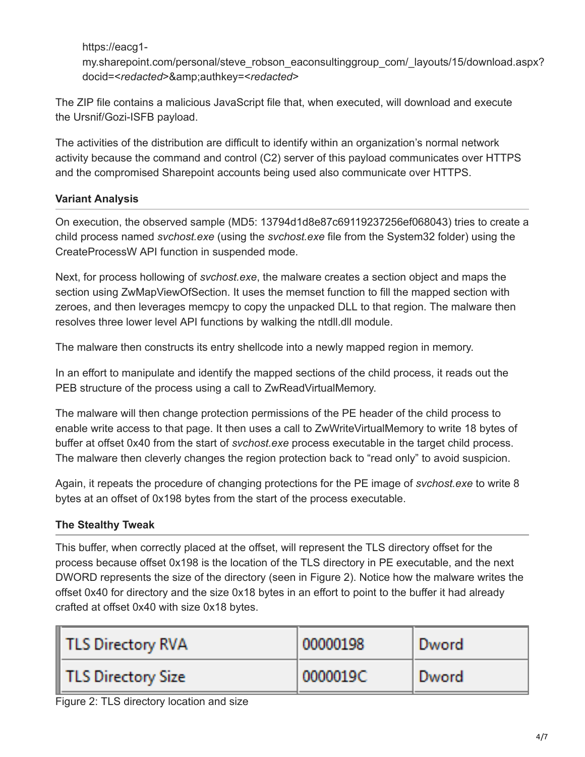https://eacg1-

my.sharepoint.com/personal/steve\_robson\_eaconsultinggroup\_com/\_layouts/15/download.aspx? docid=<*redacted*>&amp;authkey=<*redacted*>

The ZIP file contains a malicious JavaScript file that, when executed, will download and execute the Ursnif/Gozi-ISFB payload.

The activities of the distribution are difficult to identify within an organization's normal network activity because the command and control (C2) server of this payload communicates over HTTPS and the compromised Sharepoint accounts being used also communicate over HTTPS.

## **Variant Analysis**

On execution, the observed sample (MD5: 13794d1d8e87c69119237256ef068043) tries to create a child process named *svchost.exe* (using the *svchost.exe* file from the System32 folder) using the CreateProcessW API function in suspended mode.

Next, for process hollowing of *svchost.exe*, the malware creates a section object and maps the section using ZwMapViewOfSection. It uses the memset function to fill the mapped section with zeroes, and then leverages memcpy to copy the unpacked DLL to that region. The malware then resolves three lower level API functions by walking the ntdll.dll module.

The malware then constructs its entry shellcode into a newly mapped region in memory.

In an effort to manipulate and identify the mapped sections of the child process, it reads out the PEB structure of the process using a call to ZwReadVirtualMemory.

The malware will then change protection permissions of the PE header of the child process to enable write access to that page. It then uses a call to ZwWriteVirtualMemory to write 18 bytes of buffer at offset 0x40 from the start of *svchost.exe* process executable in the target child process. The malware then cleverly changes the region protection back to "read only" to avoid suspicion.

Again, it repeats the procedure of changing protections for the PE image of *svchost.exe* to write 8 bytes at an offset of 0x198 bytes from the start of the process executable.

## **The Stealthy Tweak**

This buffer, when correctly placed at the offset, will represent the TLS directory offset for the process because offset 0x198 is the location of the TLS directory in PE executable, and the next DWORD represents the size of the directory (seen in Figure 2). Notice how the malware writes the offset 0x40 for directory and the size 0x18 bytes in an effort to point to the buffer it had already crafted at offset 0x40 with size 0x18 bytes.

| TLS Directory RVA  | 00000198 | Dword |
|--------------------|----------|-------|
| TLS Directory Size | 0000019C | Dword |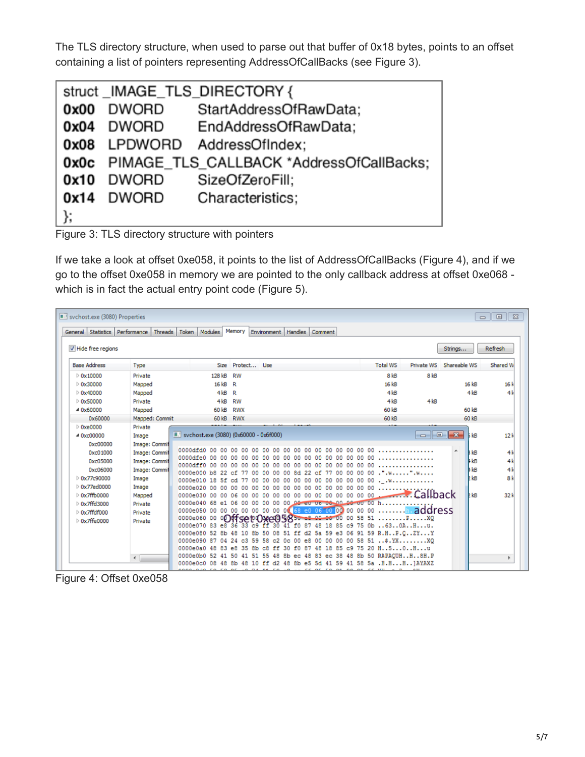The TLS directory structure, when used to parse out that buffer of 0x18 bytes, points to an offset containing a list of pointers representing AddressOfCallBacks (see Figure 3).

|      |            | struct_IMAGE_TLS_DIRECTORY {                         |
|------|------------|------------------------------------------------------|
| 0x00 | DWORD      | StartAddressOfRawData;                               |
|      | 0x04 DWORD | EndAddressOfRawData:                                 |
|      |            | 0x08 LPDWORD AddressOfIndex;                         |
|      |            | <b>0x0c</b> PIMAGE_TLS_CALLBACK *AddressOfCallBacks; |
| 0x10 | DWORD      | SizeOfZeroFill;                                      |
|      | 0x14 DWORD | Characteristics;                                     |
| };   |            |                                                      |

Figure 3: TLS directory structure with pointers

If we take a look at offset 0xe058, it points to the list of AddressOfCallBacks (Figure 4), and if we go to the offset 0xe058 in memory we are pointed to the only callback address at offset 0xe068 which is in fact the actual entry point code (Figure 5).

| svchost.exe (3080) Properties<br>$\Box$<br>$\Sigma$<br>$\qquad \qquad \Box$ |                      |                                                             |        |            |     |          |                                 |    |    |         |                   |                 |                                                                                                                       |              |                 |                |
|-----------------------------------------------------------------------------|----------------------|-------------------------------------------------------------|--------|------------|-----|----------|---------------------------------|----|----|---------|-------------------|-----------------|-----------------------------------------------------------------------------------------------------------------------|--------------|-----------------|----------------|
| General Statistics Performance                                              | Threads              | Token   Modules                                             |        | Memory     |     |          | Environment   Handles   Comment |    |    |         |                   |                 |                                                                                                                       |              |                 |                |
| V Hide free regions                                                         |                      |                                                             |        |            |     |          |                                 |    |    |         |                   |                 |                                                                                                                       | Strings      |                 | Refresh        |
| <b>Base Address</b>                                                         | Type                 |                                                             | Size   | Protect    |     | Use      |                                 |    |    |         |                   | <b>Total WS</b> | Private WS                                                                                                            | Shareable WS |                 | Shared W       |
| $\triangleright$ 0x10000                                                    | Private              |                                                             | 128 kB | RW         |     |          |                                 |    |    |         |                   | 8 <sub>kB</sub> | 8 <sub>kB</sub>                                                                                                       |              |                 |                |
| $\triangleright$ 0x30000                                                    | Mapped               |                                                             | 16 kB  | R          |     |          |                                 |    |    |         |                   | 16 kB           |                                                                                                                       |              | 16 kB           | 16k            |
| $D$ 0x40000                                                                 | Mapped               |                                                             | 4kB    | R          |     |          |                                 |    |    |         |                   | 4kB             |                                                                                                                       |              | 4kB             | 4k             |
| $\triangleright$ 0x50000                                                    | Private              |                                                             | 4kB    | RW         |     |          |                                 |    |    |         |                   | 4kB             | 4kB                                                                                                                   |              |                 |                |
| 40x60000                                                                    | Mapped               |                                                             | 60 kB  | <b>RWX</b> |     |          |                                 |    |    |         |                   | 60 kB           |                                                                                                                       |              | 60 kB           |                |
| 0x60000                                                                     | Mapped: Commit       |                                                             | 60 kB  | <b>RWX</b> |     |          |                                 |    |    |         |                   | 60 kB           |                                                                                                                       |              | 60 kB           |                |
| $\triangleright$ 0xe0000                                                    | Private              |                                                             |        |            |     |          |                                 |    |    |         |                   |                 |                                                                                                                       |              |                 |                |
| 40xc00000                                                                   | Image                | <b>II.'</b> svchost.exe (3080) (0x60000 - 0x6f000)          |        |            |     |          |                                 |    |    |         |                   |                 | <u>a la</u>                                                                                                           | $-x$         | kB              | 12k            |
| 0xc00000                                                                    | <b>Image: Commit</b> |                                                             |        |            |     |          |                                 |    |    |         |                   |                 |                                                                                                                       |              |                 |                |
| 0xc01000                                                                    | <b>Image: Commit</b> | 0000dfd0 00 00 00 00 00<br>0000dfe0 00 00 00 00 00 00 00 00 |        |            |     | 00 00 00 |                                 |    |    |         |                   |                 | 000000000000000000                                                                                                    |              | kB              | 4k             |
| 0xc05000                                                                    | Image: Commit        | 0000dff0 00 00 00 00 00 00 00 00 00                         |        |            |     |          |                                 | oo |    |         | 00 00 00 00 00 00 |                 |                                                                                                                       |              | <b>kB</b>       | 4k             |
| 0xc06000                                                                    | <b>Image: Commit</b> |                                                             |        |            |     |          |                                 |    |    |         |                   |                 | 0000e000 b8 22 cf 77 00 00 00 00 8d 22 cf 77 00 00 00 00 .".w".w                                                      |              | kB              | 4k             |
| D 0x77c90000                                                                | Image                |                                                             |        |            |     |          |                                 |    |    |         |                   |                 |                                                                                                                       |              | P <sub>kB</sub> | 8 <sup>k</sup> |
| ▷ 0x77ed0000                                                                | Image                |                                                             |        |            |     |          |                                 |    |    |         |                   |                 |                                                                                                                       |              |                 |                |
| $\triangleright$ 0x7ffb0000                                                 | Mapped               |                                                             |        |            |     |          |                                 |    |    |         |                   |                 |                                                                                                                       |              | <b>E</b> kB     | 32 k           |
| <b>Dx7ffd3000</b>                                                           | Private              |                                                             |        |            |     |          |                                 |    |    |         |                   |                 |                                                                                                                       |              |                 |                |
| $\triangleright$ 0x7ffdf000                                                 | Private              | 0000e060 00                                                 |        |            |     |          |                                 |    |    |         |                   |                 | 0000e050 00 00 00 00 00 00 00 00 00 68 e0 06 00 00 00 00 00 00 <mark>n.address</mark><br>850 c8 00 00 00 00 58 51 PXQ |              |                 |                |
| $\triangleright$ 0x7ffe0000                                                 | Private              | 0000e070 83 e8 36 33 c9 ff 30                               |        |            |     |          |                                 |    |    |         |                   |                 | 41 f0 87 48 18 85 c9 75 0b 630AHu.                                                                                    |              |                 |                |
|                                                                             |                      |                                                             |        |            |     |          |                                 |    |    |         |                   |                 | 0000e080 52 8b 48 10 8b 50 08 51 ff d2 5a 59 e3 06 91 59 R.HP.CZYY                                                    |              |                 |                |
|                                                                             |                      | 0000e090 87 04 24 c3 59 58                                  |        |            |     | c2       | 00<br>0c.                       | e8 |    |         |                   |                 | 00 00 00 00 58 51 \$.YXXQ                                                                                             |              |                 |                |
|                                                                             |                      | 0000e0a0 48 83 e8 35                                        |        |            | 8b. | c8<br>ff | f0.<br>30                       | 87 | 48 | 18.85c9 |                   |                 | 75 20 H. . 5. 0. . H. u                                                                                               |              |                 |                |
|                                                                             | $\epsilon$           |                                                             |        |            |     |          |                                 |    |    |         |                   |                 | 0000e0b0 52 41 50 41 51 55 48 8b ec 48 83 ec 38 48 8b 50 RAPACUHH8H.P                                                 |              |                 |                |
|                                                                             |                      |                                                             |        |            |     |          |                                 |    |    |         |                   |                 | 0000e0c0 08 48 8b 48 10 ff d2 48 8b e5 5d 41 59 41 58 5a .H.HH]AYAXZ                                                  |              |                 |                |

Figure 4: Offset 0xe058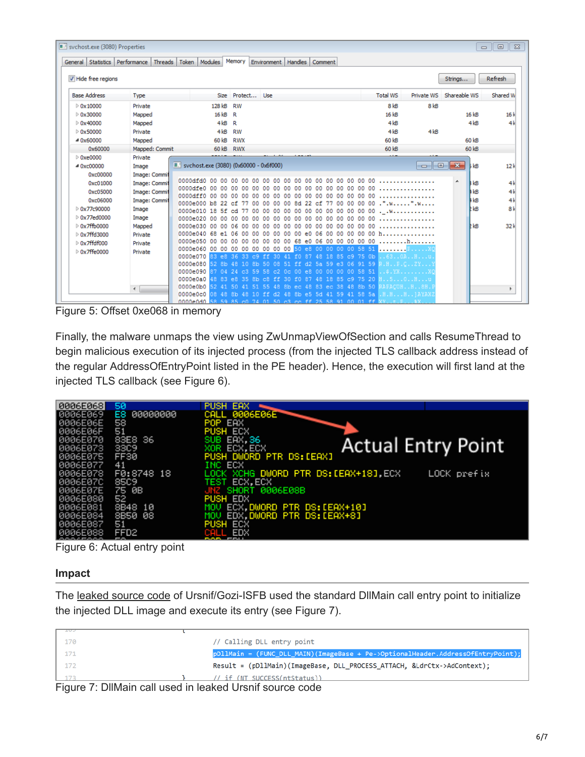| sychost.exe (3080) Properties<br>General Statistics Performance | Threads        | Token                                                              | Modules  | Memory       | Environment | Handles           | Comment |  |  |                                                                |                         |                                                                                                                   |         | $\qquad \qquad \Box$ | $\Sigma$<br>$\Box$ |
|-----------------------------------------------------------------|----------------|--------------------------------------------------------------------|----------|--------------|-------------|-------------------|---------|--|--|----------------------------------------------------------------|-------------------------|-------------------------------------------------------------------------------------------------------------------|---------|----------------------|--------------------|
| V Hide free regions                                             |                |                                                                    |          |              |             |                   |         |  |  |                                                                |                         |                                                                                                                   | Strings |                      | Refresh            |
| <b>Base Address</b>                                             | Type           |                                                                    |          | Size Protect | <b>Use</b>  |                   |         |  |  | <b>Total WS</b>                                                | Private WS Shareable WS |                                                                                                                   |         |                      | Shared W           |
| $\triangleright$ 0x10000                                        | Private        |                                                                    | 128 kB   | RW           |             |                   |         |  |  | 8 <sub>kB</sub>                                                | 8 <sub>kB</sub>         |                                                                                                                   |         |                      |                    |
| $\triangleright$ 0x30000                                        | Mapped         |                                                                    | 16 kB    | R.           |             |                   |         |  |  | 16 kB                                                          |                         |                                                                                                                   |         | 16kB                 | 16k                |
| $\triangleright$ 0x40000                                        | Mapped         |                                                                    | 4kB      | R            |             |                   |         |  |  | 4kB                                                            |                         |                                                                                                                   |         | 4kB                  | 4k                 |
| $\triangleright$ 0x50000                                        | Private        |                                                                    | 4kB      | RW           |             |                   |         |  |  | 4kB                                                            | 4kB                     |                                                                                                                   |         |                      |                    |
| 40x60000                                                        | Mapped         |                                                                    | 60 kB    | RWX          |             |                   |         |  |  | 60 kB                                                          |                         |                                                                                                                   |         | 60 kB                |                    |
| 0x60000                                                         | Mapped: Commit |                                                                    | 60 kB    | <b>RWX</b>   |             |                   |         |  |  | 60 kB                                                          |                         |                                                                                                                   |         | 60 kB                |                    |
| $\triangleright$ 0xe0000                                        | Private        |                                                                    |          |              |             |                   |         |  |  |                                                                |                         |                                                                                                                   |         |                      |                    |
| 40xc00000                                                       | Image          | <b>E.'</b> svchost.exe (3080) (0x60000 - 0x6f000)                  |          |              |             |                   |         |  |  |                                                                |                         | $\begin{array}{c c c c c c} \hline \multicolumn{3}{c }{\mathbf{C}} & \multicolumn{3}{c }{\mathbf{X}} \end{array}$ |         | <b>b</b> kB          | 12k                |
| 0xc00000                                                        | Image: Commit  |                                                                    |          |              |             |                   |         |  |  |                                                                |                         |                                                                                                                   |         |                      |                    |
| 0xc01000                                                        | Image: Commit  |                                                                    |          |              |             |                   |         |  |  |                                                                |                         |                                                                                                                   | ▲       | <b>B</b> kB          | 4k                 |
| 0xc05000                                                        | Image: Commit  |                                                                    |          |              |             |                   |         |  |  |                                                                |                         |                                                                                                                   |         | #kB                  | 4k                 |
| 0xc06000                                                        | Image: Commit  | 0000e000 b8 22 cf 77 00                                            |          |              |             | 00 00 00 8d 22 cf |         |  |  | 77 00 00 00 00 .".w".w                                         |                         |                                                                                                                   |         | H <sub>k</sub> B     | 4k                 |
| D 0x77c90000                                                    | Image          |                                                                    |          |              |             |                   |         |  |  |                                                                |                         |                                                                                                                   |         | <b>kB</b>            | 8 <sup>k</sup>     |
| <b>Dx77ed0000</b>                                               | Image          | 0000e020 00 00 00 00 00                                            |          |              | 00. QQ      | nn.               |         |  |  | 000000000000000000                                             |                         |                                                                                                                   |         |                      |                    |
| $\triangleright$ 0x7ffb0000                                     | Mapped         | 0000e030 00 00 06 00 00 00 00                                      |          |              |             | $00 -$            |         |  |  | 000000000000000000                                             |                         |                                                                                                                   |         | <b>P</b> kB          | 32k                |
| ▷ 0x7ffd3000                                                    | Private        | 0000e040 68 e1 06 00 00                                            |          |              |             |                   |         |  |  | 00 00 00 00 e0 06 00 00 00 00 00 h                             |                         |                                                                                                                   |         |                      |                    |
| $\triangleright$ 0x7ffdf000                                     | Private        | 0000e050 00 00 00 00 00 00 00 00 68 e0 06 00 00 00 00 00           |          |              |             |                   |         |  |  |                                                                |                         |                                                                                                                   |         |                      |                    |
| ▷ 0x7ffe0000                                                    | Private        | 0000e060 00 00 00 00 00 00 00 00 50 e8 00 00 00 00 58 51 EXO       |          |              |             |                   |         |  |  |                                                                |                         |                                                                                                                   |         |                      |                    |
|                                                                 |                | 0000e070 83 e8 36 33 c9 ff 30 41 f0 87 48 18 85 c9 75 0b 630AHu.   |          |              |             |                   |         |  |  |                                                                |                         |                                                                                                                   |         |                      |                    |
|                                                                 |                | 0000e080 52 8b 48 10 8b 50 08 51 ff d2 5a 59 e3 06 91 59 R.HF.CZY) |          |              |             |                   |         |  |  |                                                                |                         |                                                                                                                   |         |                      |                    |
|                                                                 |                | 0000e0a0 48 83 e8 35 8b c8 ff 30 f0 87                             |          |              |             |                   |         |  |  | 48 18 85 c9 75 20 H50Hu                                        |                         |                                                                                                                   |         |                      |                    |
|                                                                 | $\overline{a}$ | 0000e0b0                                                           | 52 41 50 | 41           |             |                   |         |  |  | 51 55 48 8b ec 48 83 ec 38 48 8b 50 RAFACUHH8H.I               |                         |                                                                                                                   |         |                      | ٠                  |
|                                                                 |                | 0000e0c0                                                           |          |              |             |                   |         |  |  | 08 48 8b 48 10 ff d2 48 8b e5 5d 41 59 41 58 5a . H.HH   AYAX2 |                         |                                                                                                                   |         |                      |                    |
|                                                                 |                | 0000e0d0 58.59.85 c0.74.01.50 c3 cc ff 25.58.91.00.01 ff XVt.F %X  |          |              |             |                   |         |  |  |                                                                |                         |                                                                                                                   |         |                      |                    |

Figure 5: Offset 0xe068 in memory

Finally, the malware unmaps the view using ZwUnmapViewOfSection and calls ResumeThread to begin malicious execution of its injected process (from the injected TLS callback address instead of the regular AddressOfEntryPoint listed in the PE header). Hence, the execution will first land at the injected TLS callback (see Figure 6).

| 8886E868             | 50               | PUSH EAX                                             |
|----------------------|------------------|------------------------------------------------------|
| 10006E069            | E8<br>00000000   | CALL 0006E06E                                        |
| 8006E06E             | 58               | POP EAX                                              |
| 8006E06F             | 51               | PUSH ECX                                             |
| 0006E070             | 83E8 36          | SUB EAX, 36<br><b>Actual Entry Point</b>             |
| 0006E073             | <b>33C9</b>      | XOR ECX, ECX<br>PUSH DWORD PTR DS: [EAX]             |
| 8006E075<br>8006E077 | FF30<br>41       | INC ECX                                              |
| 0006E078             | F0:8748 18       | LOCK XCHG DWORD PTR DS: [EAX+18], ECX<br>LOCK prefix |
| 8006E07C             | 8509             | TEST ECX.ECX                                         |
| 8006E07E             | 75 0B            | JNZ SHORT 0006E08B                                   |
| 0006E080             | 52               | PUSH EDX                                             |
| 0006E081             | 8B48 10          | MOV ECX, DWORD PTR DS: [EAX+10]                      |
| 8006E084             | 8B50 08          | MOV EDX, DWORD PTR DS: [EAX+8]                       |
| 0006E087             | 51               | <b>PUSH ECX</b>                                      |
| 8006E088             | FFD <sub>2</sub> | CALL EDX                                             |

Figure 6: Actual entry point

### **Impact**

The [leaked source code](https://github.com/gbrindisi/malware/blob/master/windows/gozi-isfb/AcDll/stubs.c) of Ursnif/Gozi-ISFB used the standard DllMain call entry point to initialize the injected DLL image and execute its entry (see Figure 7).

| ---- |                                                                                 |
|------|---------------------------------------------------------------------------------|
| 170  | // Calling DLL entry point                                                      |
| 171  | pDllMain = (FUNC_DLL_MAIN)(ImageBase + Pe->OptionalHeader.AddressOfEntryPoint); |
| 172  | Result = (pDllMain)(ImageBase, DLL_PROCESS_ATTACH, &LdrCtx->AdContext);         |
|      | // if (NT SUCCESS(ntStatus))                                                    |

Figure 7: DllMain call used in leaked Ursnif source code